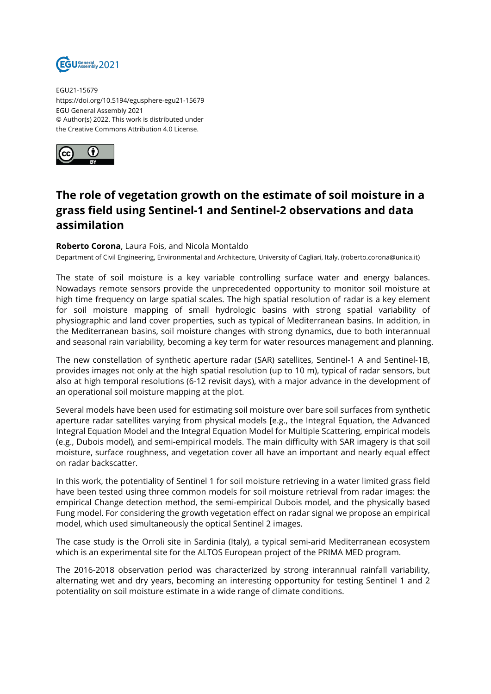

EGU21-15679 https://doi.org/10.5194/egusphere-egu21-15679 EGU General Assembly 2021 © Author(s) 2022. This work is distributed under the Creative Commons Attribution 4.0 License.



## **The role of vegetation growth on the estimate of soil moisture in a grass field using Sentinel-1 and Sentinel-2 observations and data assimilation**

## **Roberto Corona**, Laura Fois, and Nicola Montaldo

Department of Civil Engineering, Environmental and Architecture, University of Cagliari, Italy, (roberto.corona@unica.it)

The state of soil moisture is a key variable controlling surface water and energy balances. Nowadays remote sensors provide the unprecedented opportunity to monitor soil moisture at high time frequency on large spatial scales. The high spatial resolution of radar is a key element for soil moisture mapping of small hydrologic basins with strong spatial variability of physiographic and land cover properties, such as typical of Mediterranean basins. In addition, in the Mediterranean basins, soil moisture changes with strong dynamics, due to both interannual and seasonal rain variability, becoming a key term for water resources management and planning.

The new constellation of synthetic aperture radar (SAR) satellites, Sentinel-1 A and Sentinel-1B, provides images not only at the high spatial resolution (up to 10 m), typical of radar sensors, but also at high temporal resolutions (6-12 revisit days), with a major advance in the development of an operational soil moisture mapping at the plot.

Several models have been used for estimating soil moisture over bare soil surfaces from synthetic aperture radar satellites varying from physical models [e.g., the Integral Equation, the Advanced Integral Equation Model and the Integral Equation Model for Multiple Scattering, empirical models (e.g., Dubois model), and semi-empirical models. The main difficulty with SAR imagery is that soil moisture, surface roughness, and vegetation cover all have an important and nearly equal effect on radar backscatter.

In this work, the potentiality of Sentinel 1 for soil moisture retrieving in a water limited grass field have been tested using three common models for soil moisture retrieval from radar images: the empirical Change detection method, the semi-empirical Dubois model, and the physically based Fung model. For considering the growth vegetation effect on radar signal we propose an empirical model, which used simultaneously the optical Sentinel 2 images.

The case study is the Orroli site in Sardinia (Italy), a typical semi-arid Mediterranean ecosystem which is an experimental site for the ALTOS European project of the PRIMA MED program.

The 2016-2018 observation period was characterized by strong interannual rainfall variability, alternating wet and dry years, becoming an interesting opportunity for testing Sentinel 1 and 2 potentiality on soil moisture estimate in a wide range of climate conditions.